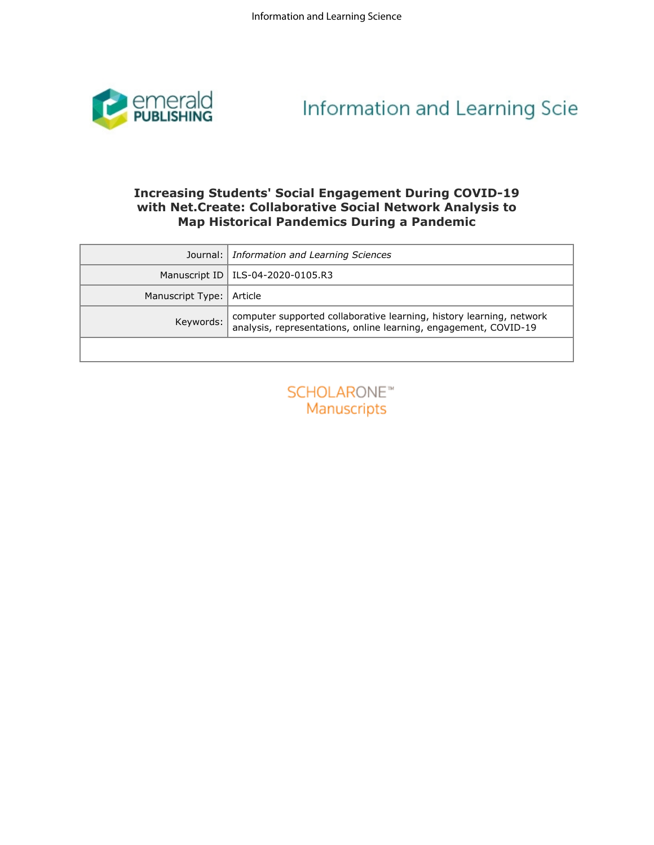

# Information and Learning Scie

## **with Net.Create: Collaborative Social Network Analysis to Map Historical Pandemics During a Pandemic**

|                  | <b>Increasing Students' Social Engagement During COVID-19</b><br>with Net. Create: Collaborative Social Network Analysis to              |
|------------------|------------------------------------------------------------------------------------------------------------------------------------------|
|                  | <b>Map Historical Pandemics During a Pandemic</b>                                                                                        |
| Journal:         | Information and Learning Sciences                                                                                                        |
| Manuscript ID    | ILS-04-2020-0105.R3                                                                                                                      |
| Manuscript Type: | Article                                                                                                                                  |
| Keywords:        | computer supported collaborative learning, history learning, network<br>analysis, representations, online learning, engagement, COVID-19 |
|                  |                                                                                                                                          |
|                  |                                                                                                                                          |
|                  |                                                                                                                                          |
|                  |                                                                                                                                          |
|                  |                                                                                                                                          |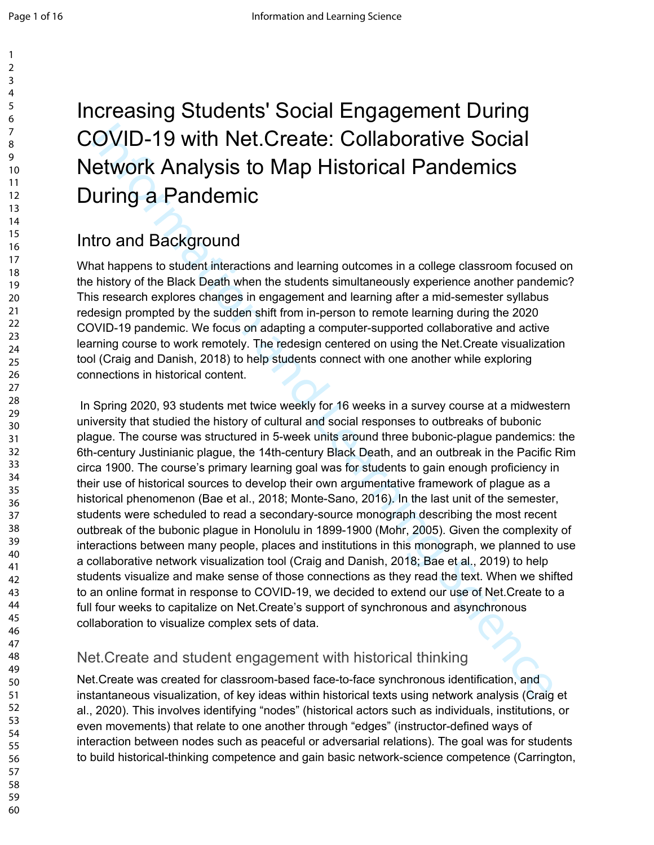# COVID-19 with Net.Create: Collaborative Social Network Analysis to Map Historical Pandemics During a Pandemic

## Intro and Background

What happens to student interactions and learning outcomes in a college classroom focused on the history of the Black Death when the students simultaneously experience another pandemic? This research explores changes in engagement and learning after a mid-semester syllabus redesign prompted by the sudden shift from in-person to remote learning during the 2020 COVID-19 pandemic. We focus on adapting a computer-supported collaborative and active learning course to work remotely. The redesign centered on using the Net.Create visualization tool (Craig and Danish, 2018) to help students connect with one another while exploring connections in historical content.

Increasing Students' Social Engagement During<br>COVID-19 with Net.Create: Collaborative Social<br>Network Analysis to Map Historical Pandemics<br>During a Pandemic<br>Moth Angles In equality and the main state of the main of the stat In Spring 2020, 93 students met twice weekly for 16 weeks in a survey course at a midwestern university that studied the history of cultural and social responses to outbreaks of bubonic plague. The course was structured in 5-week units around three bubonic-plague pandemics: the 6th-century Justinianic plague, the 14th-century Black Death, and an outbreak in the Pacific Rim circa 1900. The course's primary learning goal was for students to gain enough proficiency in their use of historical sources to develop their own argumentative framework of plague as a historical phenomenon (Bae et al., 2018; Monte-Sano, 2016). In the last unit of the semester, students were scheduled to read a secondary-source monograph describing the most recent outbreak of the bubonic plague in Honolulu in 1899-1900 (Mohr, 2005). Given the complexity of interactions between many people, places and institutions in this monograph, we planned to use a collaborative network visualization tool (Craig and Danish, 2018; Bae et al., 2019) to help students visualize and make sense of those connections as they read the text. When we shifted to an online format in response to COVID-19, we decided to extend our use of Net.Create to a full four weeks to capitalize on Net.Create's support of synchronous and asynchronous collaboration to visualize complex sets of data.

## Net.Create and student engagement with historical thinking

Net.Create was created for classroom-based face-to-face synchronous identification, and instantaneous visualization, of key ideas within historical texts using network analysis (Craig et al., 2020). This involves identifying "nodes" (historical actors such as individuals, institutions, or even movements) that relate to one another through "edges" (instructor-defined ways of interaction between nodes such as peaceful or adversarial relations). The goal was for students to build historical-thinking competence and gain basic network-science competence (Carrington,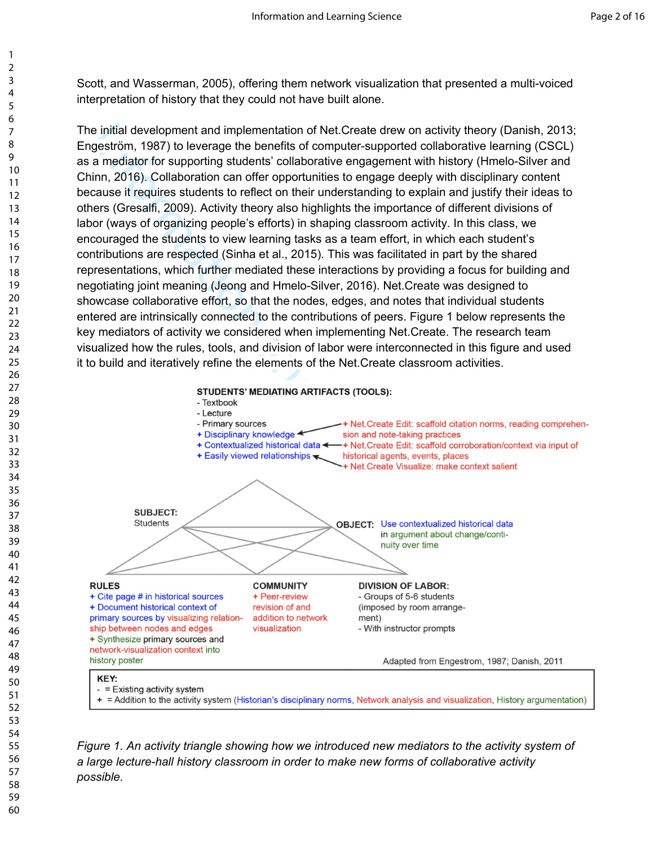Scott, and Wasserman, 2005), offering them network visualization that presented a multi-voiced interpretation of history that they could not have built alone.

The initial development and implementation of Net.Create drew on activity theory (Danish, 2013; Engeström, 1987) to leverage the benefits of computer-supported collaborative learning (CSCL) as a mediator for supporting students' collaborative engagement with history (Hmelo-Silver and Chinn, 2016). Collaboration can offer opportunities to engage deeply with disciplinary content because it requires students to reflect on their understanding to explain and justify their ideas to others (Gresalfi, 2009). Activity theory also highlights the importance of different divisions of labor (ways of organizing people's efforts) in shaping classroom activity. In this class, we encouraged the students to view learning tasks as a team effort, in which each student's contributions are respected (Sinha et al., 2015). This was facilitated in part by the shared representations, which further mediated these interactions by providing a focus for building and negotiating joint meaning (Jeong and Hmelo-Silver, 2016). Net.Create was designed to showcase collaborative effort, so that the nodes, edges, and notes that individual students entered are intrinsically connected to the contributions of peers. Figure 1 below represents the key mediators of activity we considered when implementing Net.Create. The research team visualized how the rules, tools, and division of labor were interconnected in this figure and used it to build and iteratively refine the elements of the Net.Create classroom activities.





*Figure 1. An activity triangle showing how we introduced new mediators to the activity system of a large lecture-hall history classroom in order to make new forms of collaborative activity possible.*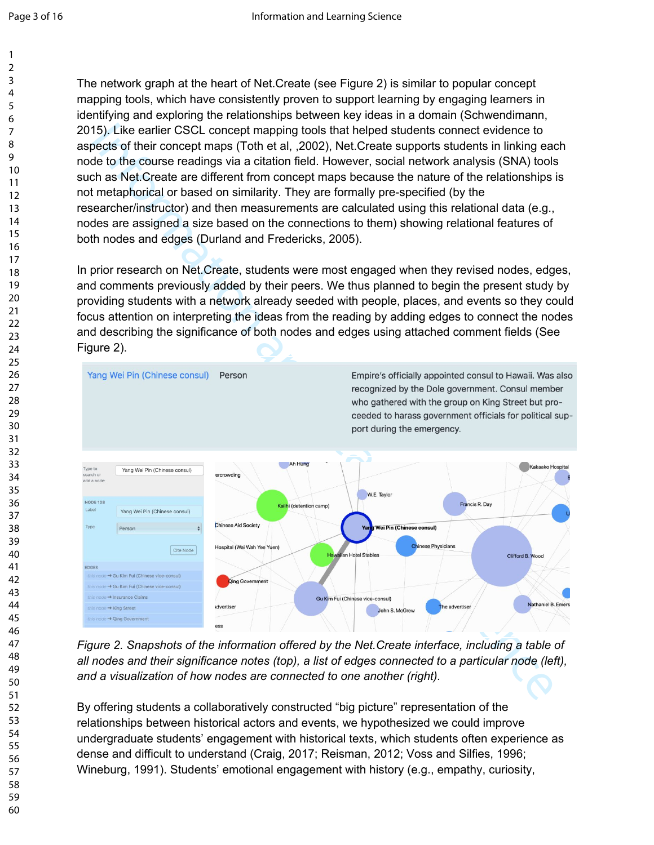The network graph at the heart of Net.Create (see Figure 2) is similar to popular concept mapping tools, which have consistently proven to support learning by engaging learners in identifying and exploring the relationships between key ideas in a domain (Schwendimann, 2015). Like earlier CSCL concept mapping tools that helped students connect evidence to aspects of their concept maps (Toth et al, ,2002), Net.Create supports students in linking each node to the course readings via a citation field. However, social network analysis (SNA) tools such as Net.Create are different from concept maps because the nature of the relationships is not metaphorical or based on similarity. They are formally pre-specified (by the researcher/instructor) and then measurements are calculated using this relational data (e.g., nodes are assigned a size based on the connections to them) showing relational features of both nodes and edges (Durland and Fredericks, 2005).

In prior research on Net.Create, students were most engaged when they revised nodes, edges, and comments previously added by their peers. We thus planned to begin the present study by providing students with a network already seeded with people, places, and events so they could focus attention on interpreting the ideas from the reading by adding edges to connect the nodes and describing the significance of both nodes and edges using attached comment fields (See Figure 2).



*Figure 2. Snapshots of the information offered by the Net.Create interface, including a table of all nodes and their significance notes (top), a list of edges connected to a particular node (left), and a visualization of how nodes are connected to one another (right).*

By offering students a collaboratively constructed "big picture" representation of the relationships between historical actors and events, we hypothesized we could improve undergraduate students' engagement with historical texts, which students often experience as dense and difficult to understand (Craig, 2017; Reisman, 2012; Voss and Silfies, 1996; Wineburg, 1991). Students' emotional engagement with history (e.g., empathy, curiosity,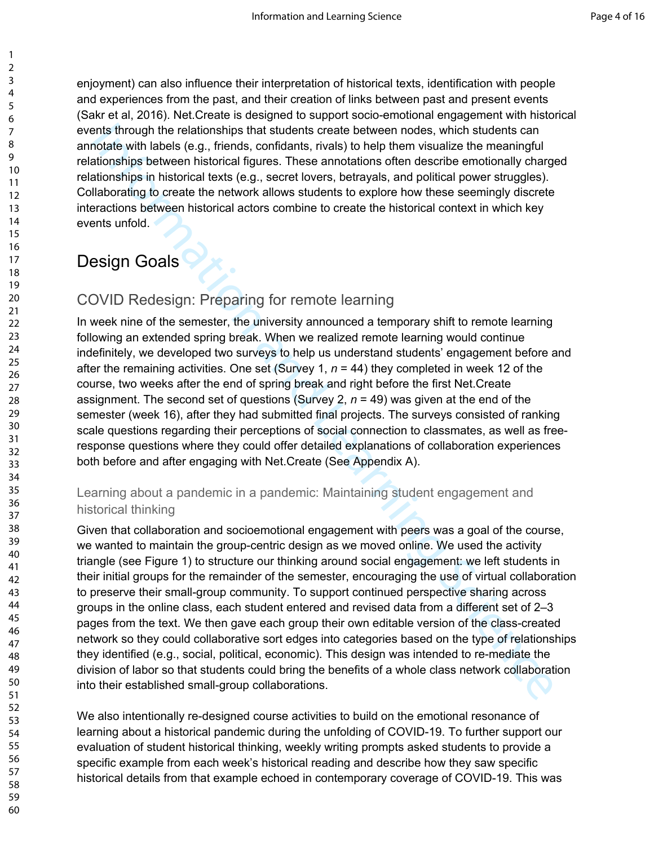enjoyment) can also influence their interpretation of historical texts, identification with people and experiences from the past, and their creation of links between past and present events (Sakr et al, 2016). Net.Create is designed to support socio-emotional engagement with historical events through the relationships that students create between nodes, which students can annotate with labels (e.g., friends, confidants, rivals) to help them visualize the meaningful relationships between historical figures. These annotations often describe emotionally charged relationships in historical texts (e.g., secret lovers, betrayals, and political power struggles). Collaborating to create the network allows students to explore how these seemingly discrete interactions between historical actors combine to create the historical context in which key events unfold.

# Design Goals

#### COVID Redesign: Preparing for remote learning

In week nine of the semester, the university announced a temporary shift to remote learning following an extended spring break. When we realized remote learning would continue indefinitely, we developed two surveys to help us understand students' engagement before and after the remaining activities. One set (Survey 1, *n* = 44) they completed in week 12 of the course, two weeks after the end of spring break and right before the first Net.Create assignment. The second set of questions (Survey 2, *n* = 49) was given at the end of the semester (week 16), after they had submitted final projects. The surveys consisted of ranking scale questions regarding their perceptions of social connection to classmates, as well as freeresponse questions where they could offer detailed explanations of collaboration experiences both before and after engaging with Net.Create (See Appendix A).

#### Learning about a pandemic in a pandemic: Maintaining student engagement and historical thinking

ents through the realtonships that students create between nodes, which students are<br>notate with labels (e.g., firends, confidants, rivals) to help them visualize the meaningful<br>etionships between historical figures. These Given that collaboration and socioemotional engagement with peers was a goal of the course, we wanted to maintain the group-centric design as we moved online. We used the activity triangle (see Figure 1) to structure our thinking around social engagement: we left students in their initial groups for the remainder of the semester, encouraging the use of virtual collaboration to preserve their small-group community. To support continued perspective sharing across groups in the online class, each student entered and revised data from a different set of 2–3 pages from the text. We then gave each group their own editable version of the class-created network so they could collaborative sort edges into categories based on the type of relationships they identified (e.g., social, political, economic). This design was intended to re-mediate the division of labor so that students could bring the benefits of a whole class network collaboration into their established small-group collaborations.

We also intentionally re-designed course activities to build on the emotional resonance of learning about a historical pandemic during the unfolding of COVID-19. To further support our evaluation of student historical thinking, weekly writing prompts asked students to provide a specific example from each week's historical reading and describe how they saw specific historical details from that example echoed in contemporary coverage of COVID-19. This was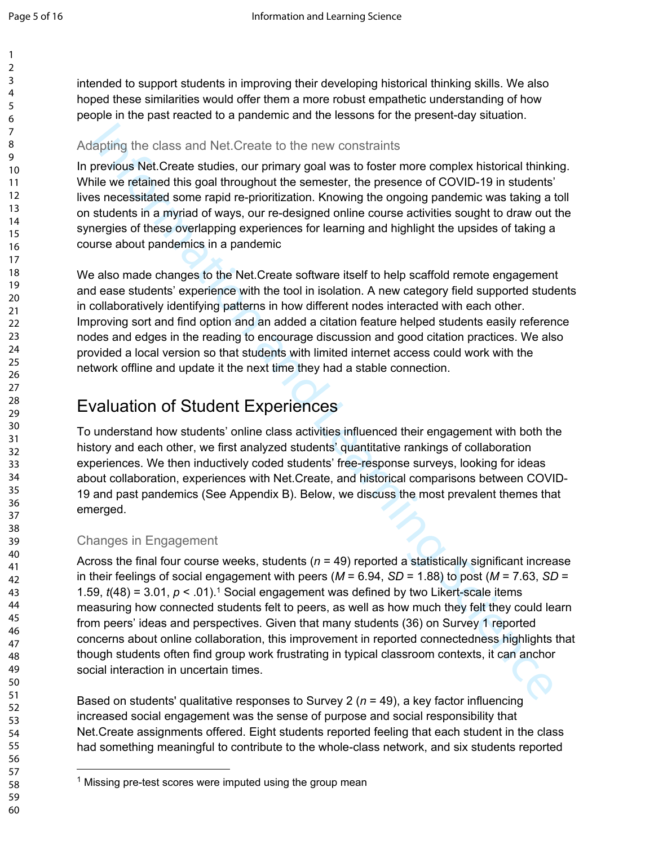intended to support students in improving their developing historical thinking skills. We also hoped these similarities would offer them a more robust empathetic understanding of how people in the past reacted to a pandemic and the lessons for the present-day situation.

#### Adapting the class and Net.Create to the new constraints

In previous Net.Create studies, our primary goal was to foster more complex historical thinking. While we retained this goal throughout the semester, the presence of COVID-19 in students' lives necessitated some rapid re-prioritization. Knowing the ongoing pandemic was taking a toll on students in a myriad of ways, our re-designed online course activities sought to draw out the synergies of these overlapping experiences for learning and highlight the upsides of taking a course about pandemics in a pandemic

We also made changes to the Net.Create software itself to help scaffold remote engagement and ease students' experience with the tool in isolation. A new category field supported students in collaboratively identifying patterns in how different nodes interacted with each other. Improving sort and find option and an added a citation feature helped students easily reference nodes and edges in the reading to encourage discussion and good citation practices. We also provided a local version so that students with limited internet access could work with the network offline and update it the next time they had a stable connection.

## Evaluation of Student Experiences

To understand how students' online class activities influenced their engagement with both the history and each other, we first analyzed students' quantitative rankings of collaboration experiences. We then inductively coded students' free-response surveys, looking for ideas about collaboration, experiences with Net.Create, and historical comparisons between COVID-19 and past pandemics (See Appendix B). Below, we discuss the most prevalent themes that emerged.

#### Changes in Engagement

algoting the class and Net. Create to the new constraints<br>previous Net. Create studies, our primary goal was to foster more complex historical thinkin<br>learline we retained this goal throughout the semester, the presence o Across the final four course weeks, students (*n* = 49) reported a statistically significant increase in their feelings of social engagement with peers ( $M = 6.94$ ,  $SD = 1.88$ ) to post ( $M = 7.63$ ,  $SD =$ 1.59,  $t(48) = 3.01$ ,  $p < .01$ <sup>1</sup>. Social engagement was defined by two Likert-scale items measuring how connected students felt to peers, as well as how much they felt they could learn from peers' ideas and perspectives. Given that many students (36) on Survey 1 reported concerns about online collaboration, this improvement in reported connectedness highlights that though students often find group work frustrating in typical classroom contexts, it can anchor social interaction in uncertain times.

Based on students' qualitative responses to Survey 2 (*n* = 49), a key factor influencing increased social engagement was the sense of purpose and social responsibility that Net.Create assignments offered. Eight students reported feeling that each student in the class had something meaningful to contribute to the whole-class network, and six students reported

<sup>&</sup>lt;sup>1</sup> Missing pre-test scores were imputed using the group mean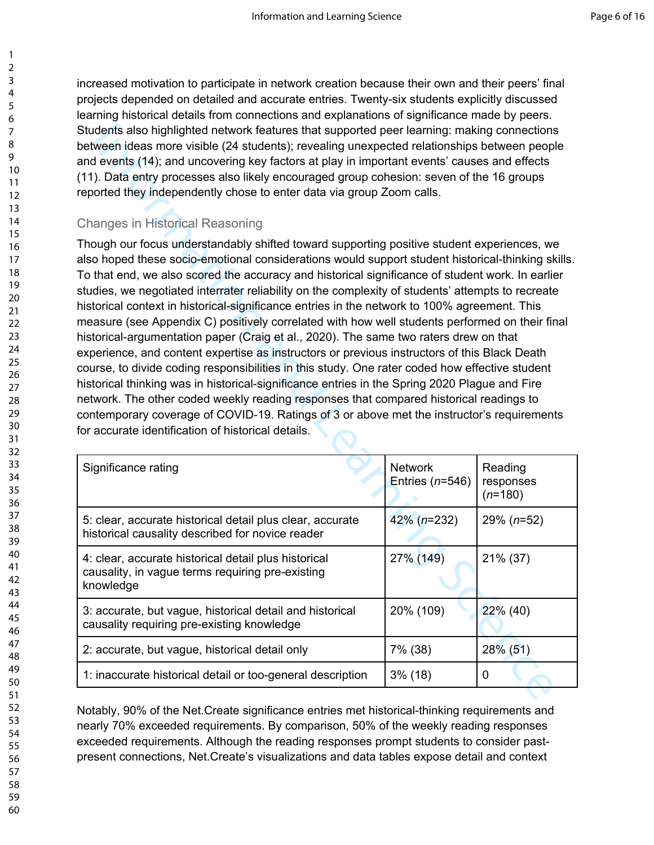increased motivation to participate in network creation because their own and their peers' final projects depended on detailed and accurate entries. Twenty-six students explicitly discussed learning historical details from connections and explanations of significance made by peers. Students also highlighted network features that supported peer learning: making connections between ideas more visible (24 students); revealing unexpected relationships between people and events (14); and uncovering key factors at play in important events' causes and effects (11). Data entry processes also likely encouraged group cohesion: seven of the 16 groups reported they independently chose to enter data via group Zoom calls.

#### Changes in Historical Reasoning

| Students also highlighted network features that supported peer learning: making connections<br>between ideas more visible (24 students); revealing unexpected relationships between people                                                                                                                                                                                                                                                                                                                                                                                                                                                                                                                                                                                                                                                                                                                                                                                                                                                                                                                                                                                                                                                           |                                        |                                   |  |  |
|------------------------------------------------------------------------------------------------------------------------------------------------------------------------------------------------------------------------------------------------------------------------------------------------------------------------------------------------------------------------------------------------------------------------------------------------------------------------------------------------------------------------------------------------------------------------------------------------------------------------------------------------------------------------------------------------------------------------------------------------------------------------------------------------------------------------------------------------------------------------------------------------------------------------------------------------------------------------------------------------------------------------------------------------------------------------------------------------------------------------------------------------------------------------------------------------------------------------------------------------------|----------------------------------------|-----------------------------------|--|--|
| and events (14); and uncovering key factors at play in important events' causes and effects                                                                                                                                                                                                                                                                                                                                                                                                                                                                                                                                                                                                                                                                                                                                                                                                                                                                                                                                                                                                                                                                                                                                                          |                                        |                                   |  |  |
| (11). Data entry processes also likely encouraged group cohesion: seven of the 16 groups<br>reported they independently chose to enter data via group Zoom calls.                                                                                                                                                                                                                                                                                                                                                                                                                                                                                                                                                                                                                                                                                                                                                                                                                                                                                                                                                                                                                                                                                    |                                        |                                   |  |  |
|                                                                                                                                                                                                                                                                                                                                                                                                                                                                                                                                                                                                                                                                                                                                                                                                                                                                                                                                                                                                                                                                                                                                                                                                                                                      |                                        |                                   |  |  |
|                                                                                                                                                                                                                                                                                                                                                                                                                                                                                                                                                                                                                                                                                                                                                                                                                                                                                                                                                                                                                                                                                                                                                                                                                                                      | <b>Changes in Historical Reasoning</b> |                                   |  |  |
| Though our focus understandably shifted toward supporting positive student experiences, we<br>also hoped these socio-emotional considerations would support student historical-thinking skills.<br>To that end, we also scored the accuracy and historical significance of student work. In earlier<br>studies, we negotiated interrater reliability on the complexity of students' attempts to recreate<br>historical context in historical-significance entries in the network to 100% agreement. This<br>measure (see Appendix C) positively correlated with how well students performed on their final<br>historical-argumentation paper (Craig et al., 2020). The same two raters drew on that<br>experience, and content expertise as instructors or previous instructors of this Black Death<br>course, to divide coding responsibilities in this study. One rater coded how effective student<br>historical thinking was in historical-significance entries in the Spring 2020 Plague and Fire<br>network. The other coded weekly reading responses that compared historical readings to<br>contemporary coverage of COVID-19. Ratings of 3 or above met the instructor's requirements<br>for accurate identification of historical details. |                                        |                                   |  |  |
| Significance rating                                                                                                                                                                                                                                                                                                                                                                                                                                                                                                                                                                                                                                                                                                                                                                                                                                                                                                                                                                                                                                                                                                                                                                                                                                  | <b>Network</b><br>Entries $(n=546)$    | Reading<br>responses<br>$(n=180)$ |  |  |
| 5: clear, accurate historical detail plus clear, accurate<br>historical causality described for novice reader                                                                                                                                                                                                                                                                                                                                                                                                                                                                                                                                                                                                                                                                                                                                                                                                                                                                                                                                                                                                                                                                                                                                        | $42\%$ (n=232)                         | $29\% (n=52)$                     |  |  |
| 4: clear, accurate historical detail plus historical<br>causality, in vague terms requiring pre-existing                                                                                                                                                                                                                                                                                                                                                                                                                                                                                                                                                                                                                                                                                                                                                                                                                                                                                                                                                                                                                                                                                                                                             |                                        |                                   |  |  |
| knowledge                                                                                                                                                                                                                                                                                                                                                                                                                                                                                                                                                                                                                                                                                                                                                                                                                                                                                                                                                                                                                                                                                                                                                                                                                                            | 27% (149)                              | 21% (37)                          |  |  |
| 3: accurate, but vague, historical detail and historical<br>causality requiring pre-existing knowledge                                                                                                                                                                                                                                                                                                                                                                                                                                                                                                                                                                                                                                                                                                                                                                                                                                                                                                                                                                                                                                                                                                                                               | 20% (109)                              | 22% (40)                          |  |  |
| 2: accurate, but vague, historical detail only                                                                                                                                                                                                                                                                                                                                                                                                                                                                                                                                                                                                                                                                                                                                                                                                                                                                                                                                                                                                                                                                                                                                                                                                       | 7% (38)                                | 28% (51)                          |  |  |
| 1: inaccurate historical detail or too-general description                                                                                                                                                                                                                                                                                                                                                                                                                                                                                                                                                                                                                                                                                                                                                                                                                                                                                                                                                                                                                                                                                                                                                                                           | $3\%$ (18)                             | 0                                 |  |  |

Notably, 90% of the Net.Create significance entries met historical-thinking requirements and nearly 70% exceeded requirements. By comparison, 50% of the weekly reading responses exceeded requirements. Although the reading responses prompt students to consider pastpresent connections, Net.Create's visualizations and data tables expose detail and context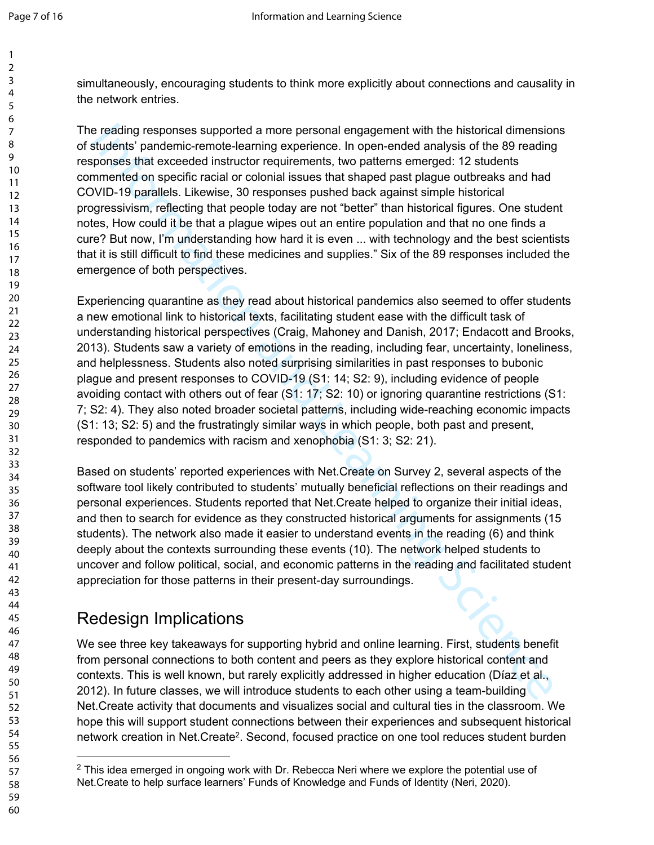simultaneously, encouraging students to think more explicitly about connections and causality in the network entries.

The reading responses supported a more personal engagement with the historical dimensions of students' pandemic-remote-learning experience. In open-ended analysis of the 89 reading responses that exceeded instructor requirements, two patterns emerged: 12 students commented on specific racial or colonial issues that shaped past plague outbreaks and had COVID-19 parallels. Likewise, 30 responses pushed back against simple historical progressivism, reflecting that people today are not "better" than historical figures. One student notes, How could it be that a plague wipes out an entire population and that no one finds a cure? But now, I'm understanding how hard it is even ... with technology and the best scientists that it is still difficult to find these medicines and supplies." Six of the 89 responses included the emergence of both perspectives.

e reading responses supported a more personal engagement with the histotical dimension<br>tudents and mention and a more personal engagement with the histotical dimension<br>students parameter-mode-learning experience. In open-e Experiencing quarantine as they read about historical pandemics also seemed to offer students a new emotional link to historical texts, facilitating student ease with the difficult task of understanding historical perspectives (Craig, Mahoney and Danish, 2017; Endacott and Brooks, 2013). Students saw a variety of emotions in the reading, including fear, uncertainty, loneliness, and helplessness. Students also noted surprising similarities in past responses to bubonic plague and present responses to COVID-19 (S1: 14; S2: 9), including evidence of people avoiding contact with others out of fear (S1: 17; S2: 10) or ignoring quarantine restrictions (S1: 7; S2: 4). They also noted broader societal patterns, including wide-reaching economic impacts (S1: 13; S2: 5) and the frustratingly similar ways in which people, both past and present, responded to pandemics with racism and xenophobia (S1: 3; S2: 21).

Based on students' reported experiences with Net.Create on Survey 2, several aspects of the software tool likely contributed to students' mutually beneficial reflections on their readings and personal experiences. Students reported that Net.Create helped to organize their initial ideas, and then to search for evidence as they constructed historical arguments for assignments (15 students). The network also made it easier to understand events in the reading (6) and think deeply about the contexts surrounding these events (10). The network helped students to uncover and follow political, social, and economic patterns in the reading and facilitated student appreciation for those patterns in their present-day surroundings.

## Redesign Implications

We see three key takeaways for supporting hybrid and online learning. First, students benefit from personal connections to both content and peers as they explore historical content and contexts. This is well known, but rarely explicitly addressed in higher education (Díaz et al., 2012). In future classes, we will introduce students to each other using a team-building Net.Create activity that documents and visualizes social and cultural ties in the classroom. We hope this will support student connections between their experiences and subsequent historical network creation in Net. Create<sup>2</sup>. Second, focused practice on one tool reduces student burden

 $2$  This idea emerged in ongoing work with Dr. Rebecca Neri where we explore the potential use of Net.Create to help surface learners' Funds of Knowledge and Funds of Identity (Neri, 2020).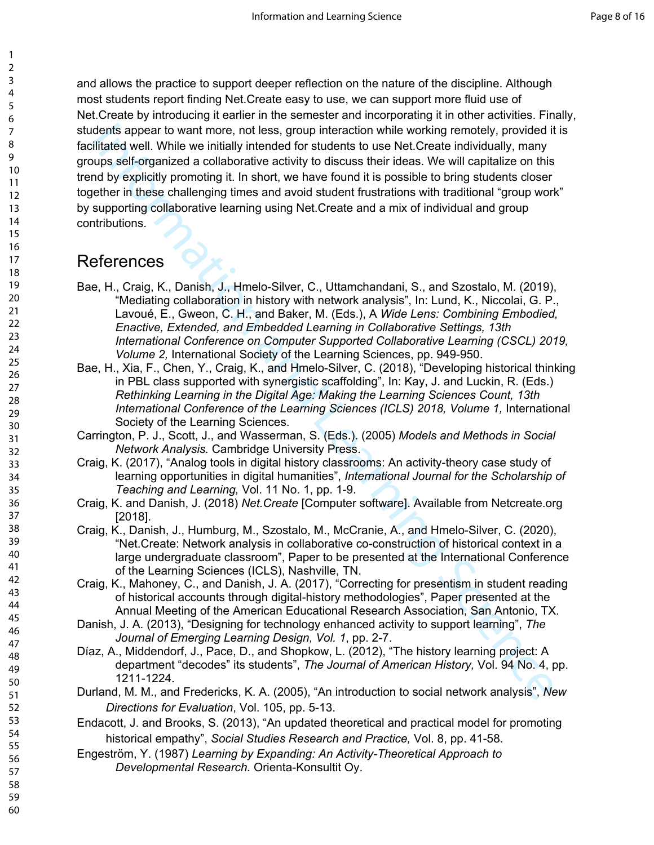dentis appear to want more, not less, group interaction while working remotely, provided its<br>littlated well. While we initially interded for students bue Net Create individually, many<br>pups self-organized a collaborative ac and allows the practice to support deeper reflection on the nature of the discipline. Although most students report finding Net.Create easy to use, we can support more fluid use of Net.Create by introducing it earlier in the semester and incorporating it in other activities. Finally, students appear to want more, not less, group interaction while working remotely, provided it is facilitated well. While we initially intended for students to use Net.Create individually, many groups self-organized a collaborative activity to discuss their ideas. We will capitalize on this trend by explicitly promoting it. In short, we have found it is possible to bring students closer together in these challenging times and avoid student frustrations with traditional "group work" by supporting collaborative learning using Net.Create and a mix of individual and group contributions.

## References

- Bae, H., Craig, K., Danish, J., Hmelo-Silver, C., Uttamchandani, S., and Szostalo, M. (2019), "Mediating collaboration in history with network analysis", In: Lund, K., Niccolai, G. P., Lavoué, E., Gweon, C. H., and Baker, M. (Eds.), A *Wide Lens: Combining Embodied, Enactive, Extended, and Embedded Learning in Collaborative Settings, 13th International Conference on Computer Supported Collaborative Learning (CSCL) 2019, Volume 2,* International Society of the Learning Sciences, pp. 949-950.
- Bae, H., Xia, F., Chen, Y., Craig, K., and Hmelo-Silver, C. (2018), "Developing historical thinking in PBL class supported with synergistic scaffolding", In: Kay, J. and Luckin, R. (Eds.) *Rethinking Learning in the Digital Age: Making the Learning Sciences Count, 13th International Conference of the Learning Sciences (ICLS) 2018, Volume 1,* International Society of the Learning Sciences.
- Carrington, P. J., Scott, J., and Wasserman, S. (Eds.). (2005) *Models and Methods in Social Network Analysis.* Cambridge University Press.
- Craig, K. (2017), "Analog tools in digital history classrooms: An activity-theory case study of learning opportunities in digital humanities", *International Journal for the Scholarship of Teaching and Learning,* Vol. 11 No. 1, pp. 1-9.
- Craig, K. and Danish, J. (2018) *Net.Create* [Computer software]. Available from Netcreate.org [2018].
- Craig, K., Danish, J., Humburg, M., Szostalo, M., McCranie, A., and Hmelo-Silver, C. (2020), "Net.Create: Network analysis in collaborative co-construction of historical context in a large undergraduate classroom", Paper to be presented at the International Conference of the Learning Sciences (ICLS), Nashville, TN.
- Craig, K., Mahoney, C., and Danish, J. A. (2017), "Correcting for presentism in student reading of historical accounts through digital-history methodologies", Paper presented at the Annual Meeting of the American Educational Research Association, San Antonio, TX.
- Danish, J. A. (2013), "Designing for technology enhanced activity to support learning", *The Journal of Emerging Learning Design, Vol. 1*, pp. 2-7.
- Díaz, A., Middendorf, J., Pace, D., and Shopkow, L. (2012), "The history learning project: A department "decodes" its students", *The Journal of American History,* Vol. 94 No. 4, pp. 1211-1224.
- Durland, M. M., and Fredericks, K. A. (2005), "An introduction to social network analysis", *New Directions for Evaluation*, Vol. 105, pp. 5-13.
- Endacott, J. and Brooks, S. (2013), "An updated theoretical and practical model for promoting historical empathy", *Social Studies Research and Practice,* Vol. 8, pp. 41-58.
- Engeström, Y. (1987) *Learning by Expanding: An Activity-Theoretical Approach to Developmental Research.* Orienta-Konsultit Oy.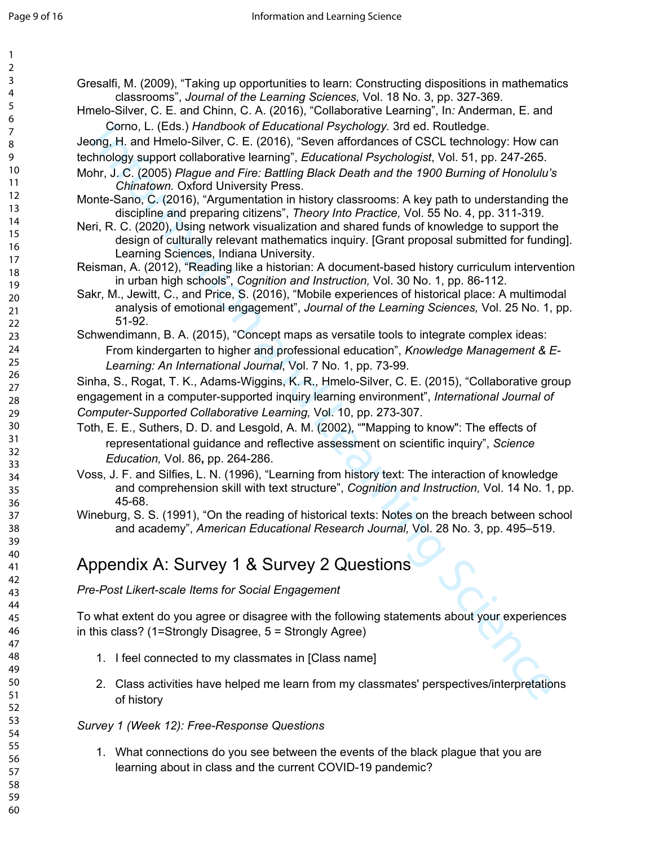| $\mathbf{1}$   |                                                                                                   |
|----------------|---------------------------------------------------------------------------------------------------|
| $\overline{2}$ |                                                                                                   |
| 3              | Gresalfi, M. (2009), "Taking up opportunities to learn: Constructing dispositions in mathematics  |
| 4              | classrooms", Journal of the Learning Sciences, Vol. 18 No. 3, pp. 327-369.                        |
| 5              | Hmelo-Silver, C. E. and Chinn, C. A. (2016), "Collaborative Learning", In: Anderman, E. and       |
| 6              |                                                                                                   |
| $\overline{7}$ | Corno, L. (Eds.) Handbook of Educational Psychology. 3rd ed. Routledge.                           |
| 8              | Jeong, H. and Hmelo-Silver, C. E. (2016), "Seven affordances of CSCL technology: How can          |
| 9              | technology support collaborative learning", Educational Psychologist, Vol. 51, pp. 247-265.       |
| 10             | Mohr, J. C. (2005) Plague and Fire: Battling Black Death and the 1900 Burning of Honolulu's       |
| 11             | Chinatown. Oxford University Press.                                                               |
| 12             | Monte-Sano, C. (2016), "Argumentation in history classrooms: A key path to understanding the      |
| 13             | discipline and preparing citizens", Theory Into Practice, Vol. 55 No. 4, pp. 311-319.             |
| 14             |                                                                                                   |
| 15             | Neri, R. C. (2020), Using network visualization and shared funds of knowledge to support the      |
| 16             | design of culturally relevant mathematics inquiry. [Grant proposal submitted for funding].        |
| 17             | Learning Sciences, Indiana University.                                                            |
| 18             | Reisman, A. (2012), "Reading like a historian: A document-based history curriculum intervention   |
| 19             | in urban high schools", Cognition and Instruction, Vol. 30 No. 1, pp. 86-112.                     |
| 20             | Sakr, M., Jewitt, C., and Price, S. (2016), "Mobile experiences of historical place: A multimodal |
| 21             | analysis of emotional engagement", Journal of the Learning Sciences, Vol. 25 No. 1, pp.           |
| 22             | 51-92.                                                                                            |
| 23             | Schwendimann, B. A. (2015), "Concept maps as versatile tools to integrate complex ideas:          |
| 24             | From kindergarten to higher and professional education", Knowledge Management & E-                |
| 25             |                                                                                                   |
| 26             | Learning: An International Journal, Vol. 7 No. 1, pp. 73-99.                                      |
| 27             | Sinha, S., Rogat, T. K., Adams-Wiggins, K. R., Hmelo-Silver, C. E. (2015), "Collaborative group   |
| 28             | engagement in a computer-supported inquiry learning environment", International Journal of        |
| 29             | Computer-Supported Collaborative Learning, Vol. 10, pp. 273-307.                                  |
| 30             | Toth, E. E., Suthers, D. D. and Lesgold, A. M. (2002), ""Mapping to know": The effects of         |
| 31             |                                                                                                   |
| 32             | representational guidance and reflective assessment on scientific inquiry", Science               |
| 33             | Education, Vol. 86, pp. 264-286.                                                                  |
| 34             | Voss, J. F. and Silfies, L. N. (1996), "Learning from history text: The interaction of knowledge  |
| 35             | and comprehension skill with text structure", Cognition and Instruction, Vol. 14 No. 1, pp.       |
| 36             | 45-68.                                                                                            |
| 37             | Wineburg, S. S. (1991), "On the reading of historical texts: Notes on the breach between school   |
| 38             | and academy", American Educational Research Journal, Vol. 28 No. 3, pp. 495-519.                  |
| 39             |                                                                                                   |
| 40             |                                                                                                   |
| 41             | Appendix A: Survey 1 & Survey 2 Questions                                                         |
| 42             |                                                                                                   |
| 43             | Pre-Post Likert-scale Items for Social Engagement                                                 |
| 44             |                                                                                                   |
| 45             | To what extent do you agree or disagree with the following statements about your experiences      |
| 46             | in this class? (1=Strongly Disagree, $5 =$ Strongly Agree)                                        |
| 47             |                                                                                                   |
| 48             |                                                                                                   |
| 49             | 1. I feel connected to my classmates in [Class name]                                              |
| 50             |                                                                                                   |
| 51             | 2. Class activities have helped me learn from my classmates' perspectives/interpretations         |
| 52             | of history                                                                                        |
| 53             |                                                                                                   |
| 54             | Survey 1 (Week 12): Free-Response Questions                                                       |
| 55             |                                                                                                   |
| 56             | 1. What connections do you see between the events of the black plague that you are                |
| 57             | learning about in class and the current COVID-19 pandemic?                                        |
| 58             |                                                                                                   |
|                |                                                                                                   |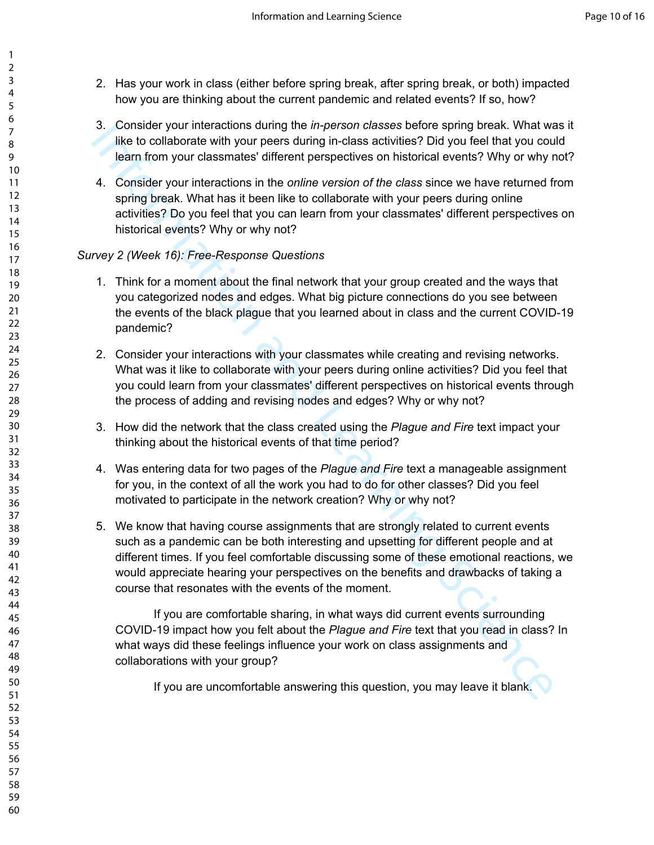- 2. Has your work in class (either before spring break, after spring break, or both) impacted how you are thinking about the current pandemic and related events? If so, how?
- 3. Consider your interactions during the *in-person classes* before spring break. What was it like to collaborate with your peers during in-class activities? Did you feel that you could learn from your classmates' different perspectives on historical events? Why or why not?
- 4. Consider your interactions in the *online version of the class* since we have returned from spring break. What has it been like to collaborate with your peers during online activities? Do you feel that you can learn from your classmates' different perspectives on historical events? Why or why not?

#### *Survey 2 (Week 16): Free-Response Questions*

- 1. Think for a moment about the final network that your group created and the ways that you categorized nodes and edges. What big picture connections do you see between the events of the black plague that you learned about in class and the current COVID-19 pandemic?
- 2. Consider your interactions with your classmates while creating and revising networks. What was it like to collaborate with your peers during online activities? Did you feel that you could learn from your classmates' different perspectives on historical events through the process of adding and revising nodes and edges? Why or why not?
- 3. How did the network that the class created using the *Plague and Fire* text impact your thinking about the historical events of that time period?
- 4. Was entering data for two pages of the *Plague and Fire* text a manageable assignment for you, in the context of all the work you had to do for other classes? Did you feel motivated to participate in the network creation? Why or why not?
- 3. Consider your interactions abien *m*-person classes befores sping break. What was the science sping to the formation and the original technical events? Why or why reflect that we say that the onlign version of the das 5. We know that having course assignments that are strongly related to current events such as a pandemic can be both interesting and upsetting for different people and at different times. If you feel comfortable discussing some of these emotional reactions, we would appreciate hearing your perspectives on the benefits and drawbacks of taking a course that resonates with the events of the moment.

If you are comfortable sharing, in what ways did current events surrounding COVID-19 impact how you felt about the *Plague and Fire* text that you read in class? In what ways did these feelings influence your work on class assignments and collaborations with your group?

If you are uncomfortable answering this question, you may leave it blank.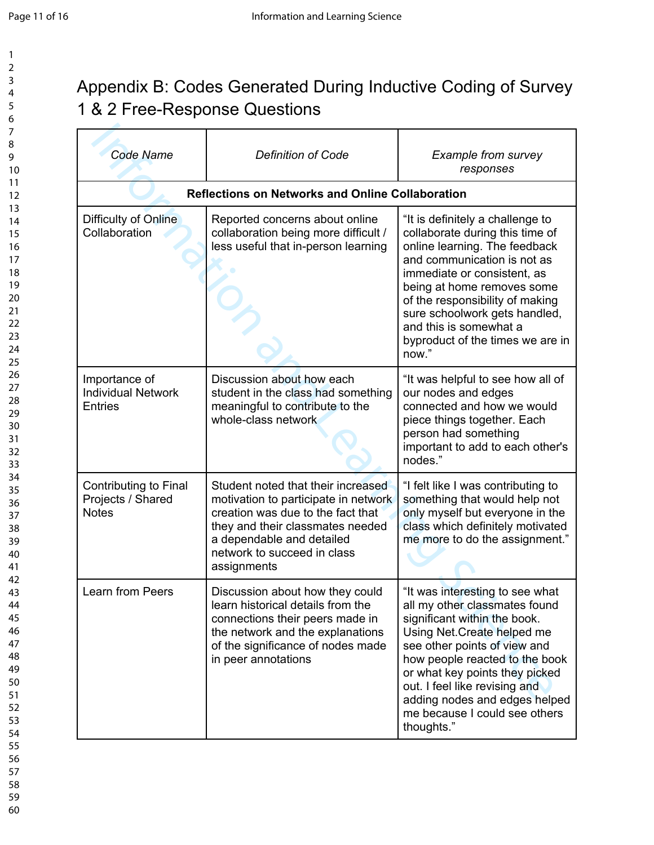# Appendix B: Codes Generated During Inductive Coding of Survey 1 & 2 Free-Response Questions

| <b>Code Name</b>                                             | <b>Definition of Code</b>                                                                                                                                                                                                      | <b>Example from survey</b><br>responses                                                                                                                                                                                                                                                                                                              |
|--------------------------------------------------------------|--------------------------------------------------------------------------------------------------------------------------------------------------------------------------------------------------------------------------------|------------------------------------------------------------------------------------------------------------------------------------------------------------------------------------------------------------------------------------------------------------------------------------------------------------------------------------------------------|
|                                                              | <b>Reflections on Networks and Online Collaboration</b>                                                                                                                                                                        |                                                                                                                                                                                                                                                                                                                                                      |
| Difficulty of Online<br>Collaboration                        | Reported concerns about online<br>collaboration being more difficult /<br>less useful that in-person learning                                                                                                                  | "It is definitely a challenge to<br>collaborate during this time of<br>online learning. The feedback<br>and communication is not as<br>immediate or consistent, as<br>being at home removes some<br>of the responsibility of making<br>sure schoolwork gets handled,<br>and this is somewhat a<br>byproduct of the times we are in<br>now."          |
| Importance of<br><b>Individual Network</b><br><b>Entries</b> | Discussion about how each<br>student in the class had something<br>meaningful to contribute to the<br>whole-class network                                                                                                      | "It was helpful to see how all of<br>our nodes and edges<br>connected and how we would<br>piece things together. Each<br>person had something<br>important to add to each other's<br>nodes."                                                                                                                                                         |
| Contributing to Final<br>Projects / Shared<br><b>Notes</b>   | Student noted that their increased<br>motivation to participate in network<br>creation was due to the fact that<br>they and their classmates needed<br>a dependable and detailed<br>network to succeed in class<br>assignments | "I felt like I was contributing to<br>something that would help not<br>only myself but everyone in the<br>class which definitely motivated<br>me more to do the assignment."                                                                                                                                                                         |
| Learn from Peers                                             | Discussion about how they could<br>learn historical details from the<br>connections their peers made in<br>the network and the explanations<br>of the significance of nodes made<br>in peer annotations                        | "It was interesting to see what<br>all my other classmates found<br>significant within the book.<br>Using Net. Create helped me<br>see other points of view and<br>how people reacted to the book<br>or what key points they picked<br>out. I feel like revising and<br>adding nodes and edges helped<br>me because I could see others<br>thoughts." |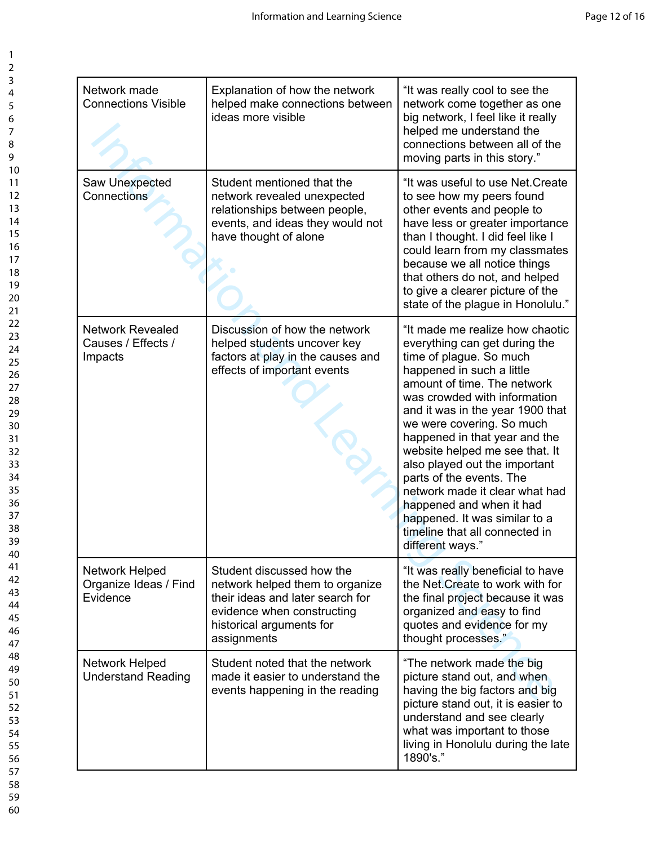| Network made<br><b>Connections Visible</b>               | Explanation of how the network<br>helped make connections between<br>ideas more visible                                                                                   | "It was really cool to see the<br>network come together as one<br>big network, I feel like it really<br>helped me understand the<br>connections between all of the<br>moving parts in this story."                                                                                                                                                                                                                                                                                                                                            |
|----------------------------------------------------------|---------------------------------------------------------------------------------------------------------------------------------------------------------------------------|-----------------------------------------------------------------------------------------------------------------------------------------------------------------------------------------------------------------------------------------------------------------------------------------------------------------------------------------------------------------------------------------------------------------------------------------------------------------------------------------------------------------------------------------------|
| Saw Unexpected<br>Connections                            | Student mentioned that the<br>network revealed unexpected<br>relationships between people,<br>events, and ideas they would not<br>have thought of alone                   | "It was useful to use Net. Create<br>to see how my peers found<br>other events and people to<br>have less or greater importance<br>than I thought. I did feel like I<br>could learn from my classmates<br>because we all notice things<br>that others do not, and helped<br>to give a clearer picture of the<br>state of the plague in Honolulu."                                                                                                                                                                                             |
| <b>Network Revealed</b><br>Causes / Effects /<br>Impacts | Discussion of how the network<br>helped students uncover key<br>factors at play in the causes and<br>effects of important events                                          | "It made me realize how chaotic<br>everything can get during the<br>time of plague. So much<br>happened in such a little<br>amount of time. The network<br>was crowded with information<br>and it was in the year 1900 that<br>we were covering. So much<br>happened in that year and the<br>website helped me see that. It<br>also played out the important<br>parts of the events. The<br>network made it clear what had<br>happened and when it had<br>happened. It was similar to a<br>timeline that all connected in<br>different ways." |
| Network Helped<br>Organize Ideas / Find<br>Evidence      | Student discussed how the<br>network helped them to organize<br>their ideas and later search for<br>evidence when constructing<br>historical arguments for<br>assignments | "It was really beneficial to have<br>the Net. Create to work with for<br>the final project because it was<br>organized and easy to find<br>quotes and evidence for my<br>thought processes."                                                                                                                                                                                                                                                                                                                                                  |
| Network Helped<br><b>Understand Reading</b>              | Student noted that the network<br>made it easier to understand the<br>events happening in the reading                                                                     | "The network made the big<br>picture stand out, and when<br>having the big factors and big<br>picture stand out, it is easier to<br>understand and see clearly<br>what was important to those<br>living in Honolulu during the late<br>1890's."                                                                                                                                                                                                                                                                                               |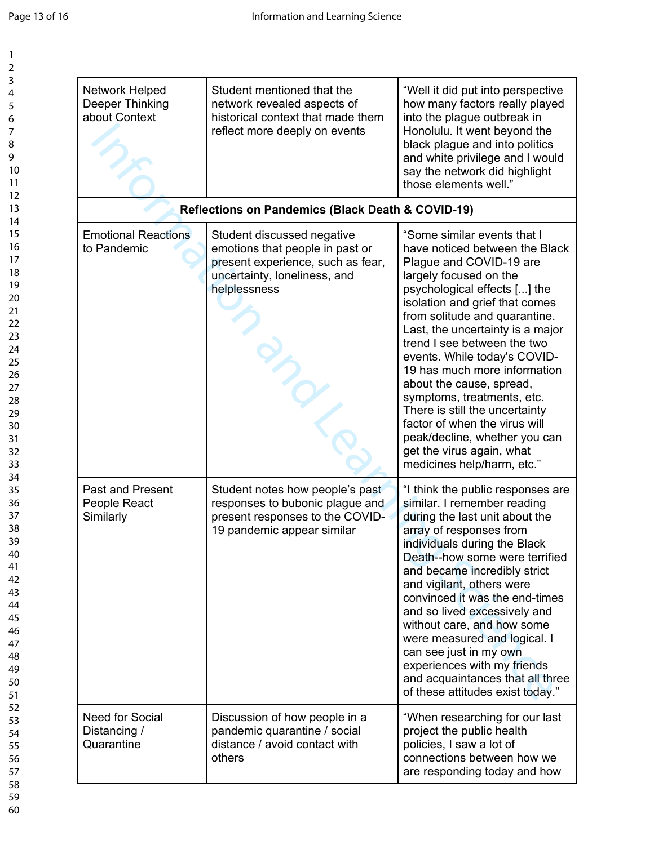| Network Helped<br>Deeper Thinking<br>about Context   | Student mentioned that the<br>network revealed aspects of<br>historical context that made them<br>reflect more deeply on events                    | "Well it did put into perspective<br>how many factors really played<br>into the plague outbreak in<br>Honolulu. It went beyond the<br>black plague and into politics<br>and white privilege and I would<br>say the network did highlight<br>those elements well."                                                                                                                                                                                                                                                                                                                 |
|------------------------------------------------------|----------------------------------------------------------------------------------------------------------------------------------------------------|-----------------------------------------------------------------------------------------------------------------------------------------------------------------------------------------------------------------------------------------------------------------------------------------------------------------------------------------------------------------------------------------------------------------------------------------------------------------------------------------------------------------------------------------------------------------------------------|
|                                                      | <b>Reflections on Pandemics (Black Death &amp; COVID-19)</b>                                                                                       |                                                                                                                                                                                                                                                                                                                                                                                                                                                                                                                                                                                   |
| <b>Emotional Reactions</b><br>to Pandemic            | Student discussed negative<br>emotions that people in past or<br>present experience, such as fear,<br>uncertainty, loneliness, and<br>helplessness | "Some similar events that I<br>have noticed between the Black<br>Plague and COVID-19 are<br>largely focused on the<br>psychological effects [] the<br>isolation and grief that comes<br>from solitude and quarantine.<br>Last, the uncertainty is a major<br>trend I see between the two<br>events. While today's COVID-<br>19 has much more information<br>about the cause, spread,<br>symptoms, treatments, etc.<br>There is still the uncertainty<br>factor of when the virus will<br>peak/decline, whether you can<br>get the virus again, what<br>medicines help/harm, etc." |
| <b>Past and Present</b><br>People React<br>Similarly | Student notes how people's past<br>responses to bubonic plague and<br>present responses to the COVID-<br>19 pandemic appear similar                | "I think the public responses are<br>similar. I remember reading<br>during the last unit about the<br>array of responses from<br>individuals during the Black<br>Death--how some were terrified<br>and became incredibly strict<br>and vigilant, others were<br>convinced it was the end-times<br>and so lived excessively and<br>without care, and how some<br>were measured and logical. I<br>can see just in my own<br>experiences with my friends<br>and acquaintances that all three<br>of these attitudes exist today."                                                     |
| <b>Need for Social</b><br>Distancing /<br>Quarantine | Discussion of how people in a<br>pandemic quarantine / social<br>distance / avoid contact with<br>others                                           | "When researching for our last<br>project the public health<br>policies, I saw a lot of<br>connections between how we<br>are responding today and how                                                                                                                                                                                                                                                                                                                                                                                                                             |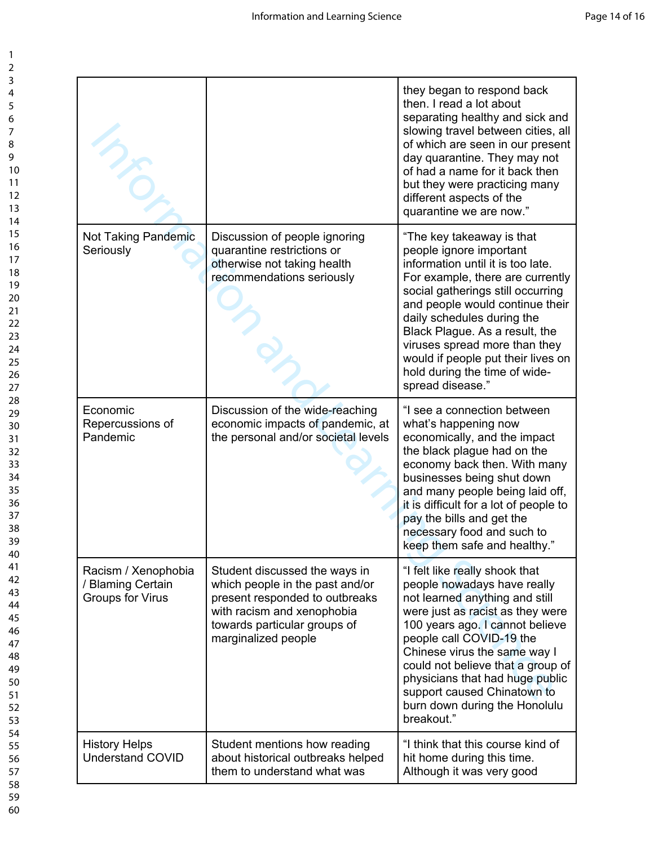|                                                                     |                                                                                                                                                                                         | they began to respond back<br>then. I read a lot about<br>separating healthy and sick and<br>slowing travel between cities, all<br>of which are seen in our present<br>day quarantine. They may not<br>of had a name for it back then<br>but they were practicing many<br>different aspects of the<br>quarantine we are now."                                                                     |
|---------------------------------------------------------------------|-----------------------------------------------------------------------------------------------------------------------------------------------------------------------------------------|---------------------------------------------------------------------------------------------------------------------------------------------------------------------------------------------------------------------------------------------------------------------------------------------------------------------------------------------------------------------------------------------------|
| Not Taking Pandemic<br>Seriously                                    | Discussion of people ignoring<br>quarantine restrictions or<br>otherwise not taking health<br>recommendations seriously                                                                 | "The key takeaway is that<br>people ignore important<br>information until it is too late.<br>For example, there are currently<br>social gatherings still occurring<br>and people would continue their<br>daily schedules during the<br>Black Plague. As a result, the<br>viruses spread more than they<br>would if people put their lives on<br>hold during the time of wide-<br>spread disease." |
| Economic<br>Repercussions of<br>Pandemic                            | Discussion of the wide-reaching<br>economic impacts of pandemic, at<br>the personal and/or societal levels                                                                              | "I see a connection between<br>what's happening now<br>economically, and the impact<br>the black plague had on the<br>economy back then. With many<br>businesses being shut down<br>and many people being laid off,<br>it is difficult for a lot of people to<br>pay the bills and get the<br>necessary food and such to<br>keep them safe and healthy."                                          |
| Racism / Xenophobia<br>/ Blaming Certain<br><b>Groups for Virus</b> | Student discussed the ways in<br>which people in the past and/or<br>present responded to outbreaks<br>with racism and xenophobia<br>towards particular groups of<br>marginalized people | "I felt like really shook that<br>people nowadays have really<br>not learned anything and still<br>were just as racist as they were<br>100 years ago. I cannot believe<br>people call COVID-19 the<br>Chinese virus the same way I<br>could not believe that a group of<br>physicians that had huge public<br>support caused Chinatown to<br>burn down during the Honolulu<br>breakout."          |
| <b>History Helps</b><br><b>Understand COVID</b>                     | Student mentions how reading<br>about historical outbreaks helped<br>them to understand what was                                                                                        | "I think that this course kind of<br>hit home during this time.<br>Although it was very good                                                                                                                                                                                                                                                                                                      |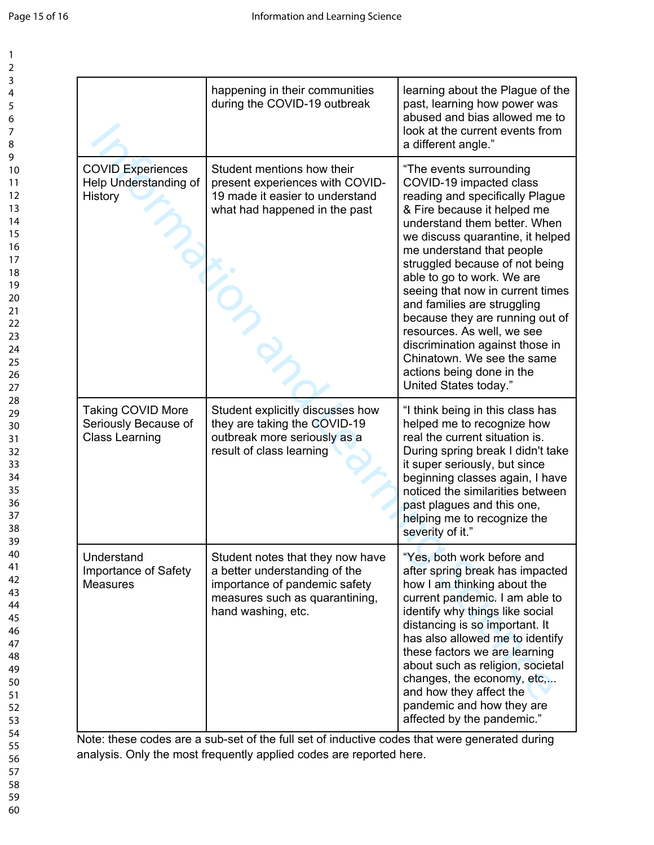| 1                                |  |
|----------------------------------|--|
| 2                                |  |
| 3                                |  |
| 4                                |  |
| 5                                |  |
|                                  |  |
| 6                                |  |
|                                  |  |
| 8                                |  |
| 9                                |  |
| $\frac{10}{1}$                   |  |
| 1<br>1                           |  |
|                                  |  |
| 12<br>13<br>14<br>15<br>16<br>17 |  |
|                                  |  |
|                                  |  |
|                                  |  |
|                                  |  |
|                                  |  |
| 18                               |  |
| 19                               |  |
| 20                               |  |
| $\overline{21}$                  |  |
| $\overline{2}$                   |  |
|                                  |  |
| 23                               |  |
| 24                               |  |
| 25                               |  |
| 26                               |  |
| $\frac{1}{2}$                    |  |
| 28                               |  |
| 29                               |  |
| 30                               |  |
| $\overline{\phantom{0}31}$       |  |
| 32                               |  |
| 33                               |  |
|                                  |  |
| 34                               |  |
| 35                               |  |
| 36                               |  |
| 37                               |  |
| $\frac{1}{8}$                    |  |
| 39                               |  |
| 40                               |  |
| 41                               |  |
| 42                               |  |
|                                  |  |
| 43                               |  |
| 44                               |  |
| 45                               |  |
| 46                               |  |
| 47                               |  |
| 48                               |  |
| 49                               |  |
| 50                               |  |
| 51                               |  |
|                                  |  |
| 52                               |  |
| 53                               |  |
| 54                               |  |
| 55                               |  |
| 56                               |  |
| 57                               |  |
| 58                               |  |
| 59                               |  |
|                                  |  |
| 60                               |  |

|                                                                           | happening in their communities<br>during the COVID-19 outbreak                                                                                                                                                                                              | learning about the Plague of the<br>past, learning how power was<br>abused and bias allowed me to<br>look at the current events from<br>a different angle."                                                                                                                                                                                                                                                                                                                                                                                      |
|---------------------------------------------------------------------------|-------------------------------------------------------------------------------------------------------------------------------------------------------------------------------------------------------------------------------------------------------------|--------------------------------------------------------------------------------------------------------------------------------------------------------------------------------------------------------------------------------------------------------------------------------------------------------------------------------------------------------------------------------------------------------------------------------------------------------------------------------------------------------------------------------------------------|
| <b>COVID Experiences</b><br>Help Understanding of<br>History              | Student mentions how their<br>present experiences with COVID-<br>19 made it easier to understand<br>what had happened in the past                                                                                                                           | "The events surrounding<br>COVID-19 impacted class<br>reading and specifically Plague<br>& Fire because it helped me<br>understand them better. When<br>we discuss quarantine, it helped<br>me understand that people<br>struggled because of not being<br>able to go to work. We are<br>seeing that now in current times<br>and families are struggling<br>because they are running out of<br>resources. As well, we see<br>discrimination against those in<br>Chinatown. We see the same<br>actions being done in the<br>United States today." |
| <b>Taking COVID More</b><br>Seriously Because of<br><b>Class Learning</b> | Student explicitly discusses how<br>they are taking the COVID-19<br>outbreak more seriously as a<br>result of class learning                                                                                                                                | "I think being in this class has<br>helped me to recognize how<br>real the current situation is.<br>During spring break I didn't take<br>it super seriously, but since<br>beginning classes again, I have<br>noticed the similarities between<br>past plagues and this one,<br>helping me to recognize the<br>severity of it."                                                                                                                                                                                                                   |
| Understand<br>Importance of Safety<br><b>Measures</b>                     | Student notes that they now have<br>a better understanding of the<br>importance of pandemic safety<br>measures such as quarantining,<br>hand washing, etc.<br>Note: these sedes are a sub set of the full set of inductive sedes that were generated during | "Yes, both work before and<br>after spring break has impacted<br>how I am thinking about the<br>current pandemic. I am able to<br>identify why things like social<br>distancing is so important. It<br>has also allowed me to identify<br>these factors we are learning<br>about such as religion, societal<br>changes, the economy, etc,<br>and how they affect the<br>pandemic and how they are<br>affected by the pandemic."                                                                                                                  |

Note: these codes are a sub-set of the full set of inductive codes that were generated during analysis. Only the most frequently applied codes are reported here.